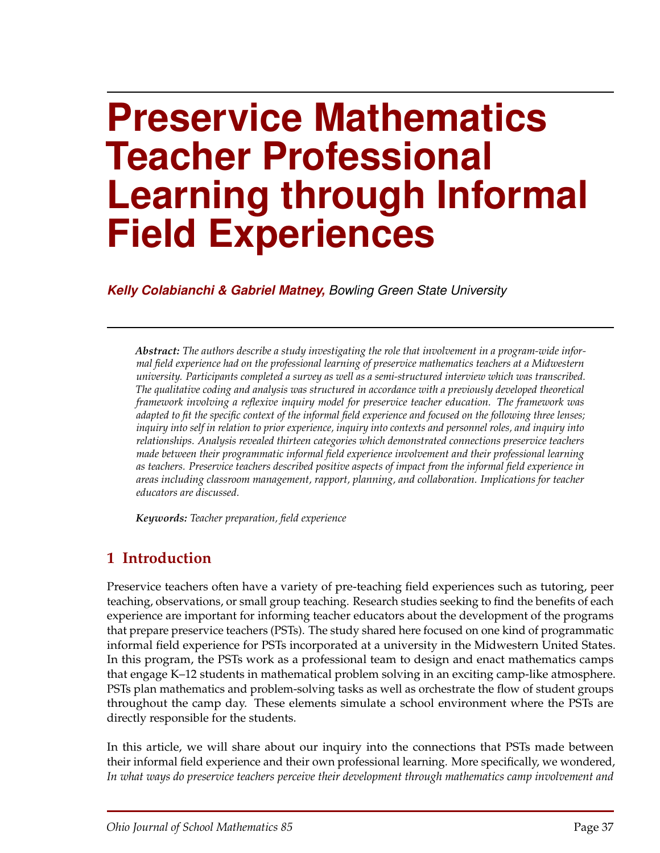# **Preservice Mathematics Teacher Professional Learning through Informal Field Experiences**

*Kelly Colabianchi & Gabriel Matney, Bowling Green State University*

*Abstract: The authors describe a study investigating the role that involvement in a program-wide informal field experience had on the professional learning of preservice mathematics teachers at a Midwestern university. Participants completed a survey as well as a semi-structured interview which was transcribed. The qualitative coding and analysis was structured in accordance with a previously developed theoretical framework involving a reflexive inquiry model for preservice teacher education. The framework was adapted to fit the specific context of the informal field experience and focused on the following three lenses; inquiry into self in relation to prior experience, inquiry into contexts and personnel roles, and inquiry into relationships. Analysis revealed thirteen categories which demonstrated connections preservice teachers made between their programmatic informal field experience involvement and their professional learning as teachers. Preservice teachers described positive aspects of impact from the informal field experience in areas including classroom management, rapport, planning, and collaboration. Implications for teacher educators are discussed.*

*Keywords: Teacher preparation, field experience*

# **1 Introduction**

Preservice teachers often have a variety of pre-teaching field experiences such as tutoring, peer teaching, observations, or small group teaching. Research studies seeking to find the benefits of each experience are important for informing teacher educators about the development of the programs that prepare preservice teachers (PSTs). The study shared here focused on one kind of programmatic informal field experience for PSTs incorporated at a university in the Midwestern United States. In this program, the PSTs work as a professional team to design and enact mathematics camps that engage K–12 students in mathematical problem solving in an exciting camp-like atmosphere. PSTs plan mathematics and problem-solving tasks as well as orchestrate the flow of student groups throughout the camp day. These elements simulate a school environment where the PSTs are directly responsible for the students.

In this article, we will share about our inquiry into the connections that PSTs made between their informal field experience and their own professional learning. More specifically, we wondered, *In what ways do preservice teachers perceive their development through mathematics camp involvement and*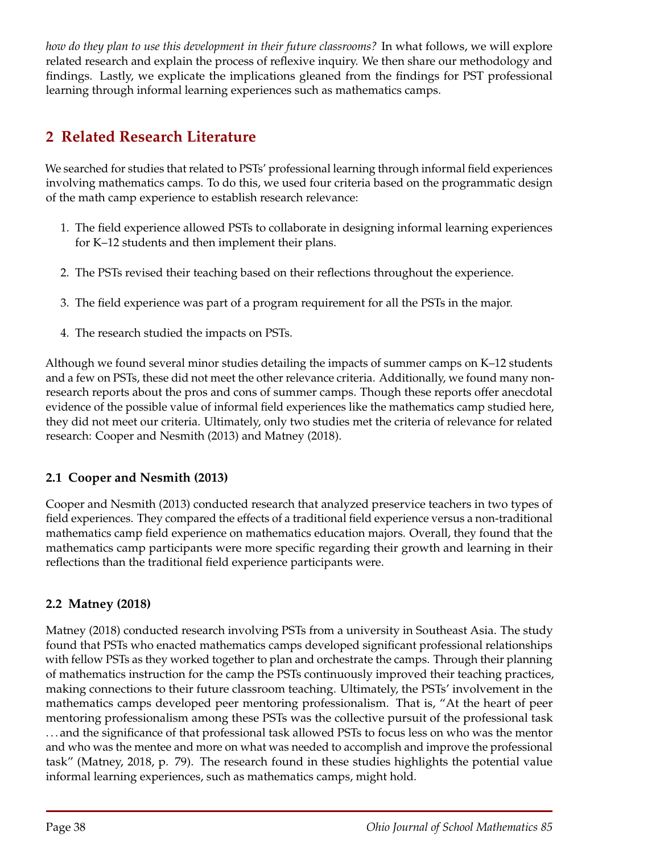*how do they plan to use this development in their future classrooms?* In what follows, we will explore related research and explain the process of reflexive inquiry. We then share our methodology and findings. Lastly, we explicate the implications gleaned from the findings for PST professional learning through informal learning experiences such as mathematics camps.

# **2 Related Research Literature**

We searched for studies that related to PSTs' professional learning through informal field experiences involving mathematics camps. To do this, we used four criteria based on the programmatic design of the math camp experience to establish research relevance:

- 1. The field experience allowed PSTs to collaborate in designing informal learning experiences for K–12 students and then implement their plans.
- 2. The PSTs revised their teaching based on their reflections throughout the experience.
- 3. The field experience was part of a program requirement for all the PSTs in the major.
- 4. The research studied the impacts on PSTs.

Although we found several minor studies detailing the impacts of summer camps on K–12 students and a few on PSTs, these did not meet the other relevance criteria. Additionally, we found many nonresearch reports about the pros and cons of summer camps. Though these reports offer anecdotal evidence of the possible value of informal field experiences like the mathematics camp studied here, they did not meet our criteria. Ultimately, only two studies met the criteria of relevance for related research: Cooper and Nesmith (2013) and Matney (2018).

## **2.1 Cooper and Nesmith (2013)**

Cooper and Nesmith (2013) conducted research that analyzed preservice teachers in two types of field experiences. They compared the effects of a traditional field experience versus a non-traditional mathematics camp field experience on mathematics education majors. Overall, they found that the mathematics camp participants were more specific regarding their growth and learning in their reflections than the traditional field experience participants were.

## **2.2 Matney (2018)**

Matney (2018) conducted research involving PSTs from a university in Southeast Asia. The study found that PSTs who enacted mathematics camps developed significant professional relationships with fellow PSTs as they worked together to plan and orchestrate the camps. Through their planning of mathematics instruction for the camp the PSTs continuously improved their teaching practices, making connections to their future classroom teaching. Ultimately, the PSTs' involvement in the mathematics camps developed peer mentoring professionalism. That is, "At the heart of peer mentoring professionalism among these PSTs was the collective pursuit of the professional task . . . and the significance of that professional task allowed PSTs to focus less on who was the mentor and who was the mentee and more on what was needed to accomplish and improve the professional task" (Matney, 2018, p. 79). The research found in these studies highlights the potential value informal learning experiences, such as mathematics camps, might hold.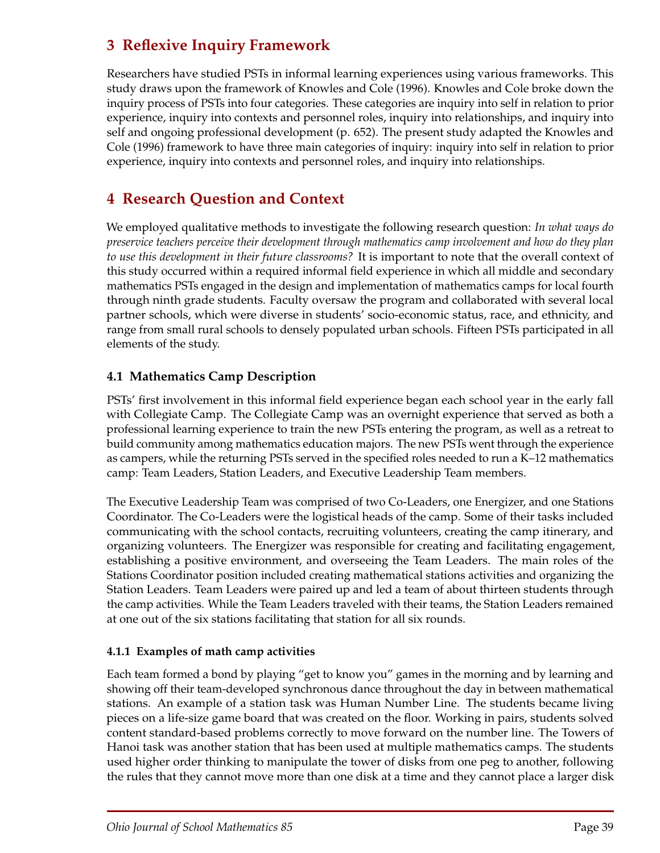# **3 Reflexive Inquiry Framework**

Researchers have studied PSTs in informal learning experiences using various frameworks. This study draws upon the framework of Knowles and Cole (1996). Knowles and Cole broke down the inquiry process of PSTs into four categories. These categories are inquiry into self in relation to prior experience, inquiry into contexts and personnel roles, inquiry into relationships, and inquiry into self and ongoing professional development (p. 652). The present study adapted the Knowles and Cole (1996) framework to have three main categories of inquiry: inquiry into self in relation to prior experience, inquiry into contexts and personnel roles, and inquiry into relationships.

# **4 Research Question and Context**

We employed qualitative methods to investigate the following research question: *In what ways do preservice teachers perceive their development through mathematics camp involvement and how do they plan to use this development in their future classrooms?* It is important to note that the overall context of this study occurred within a required informal field experience in which all middle and secondary mathematics PSTs engaged in the design and implementation of mathematics camps for local fourth through ninth grade students. Faculty oversaw the program and collaborated with several local partner schools, which were diverse in students' socio-economic status, race, and ethnicity, and range from small rural schools to densely populated urban schools. Fifteen PSTs participated in all elements of the study.

#### **4.1 Mathematics Camp Description**

PSTs' first involvement in this informal field experience began each school year in the early fall with Collegiate Camp. The Collegiate Camp was an overnight experience that served as both a professional learning experience to train the new PSTs entering the program, as well as a retreat to build community among mathematics education majors. The new PSTs went through the experience as campers, while the returning PSTs served in the specified roles needed to run a K–12 mathematics camp: Team Leaders, Station Leaders, and Executive Leadership Team members.

The Executive Leadership Team was comprised of two Co-Leaders, one Energizer, and one Stations Coordinator. The Co-Leaders were the logistical heads of the camp. Some of their tasks included communicating with the school contacts, recruiting volunteers, creating the camp itinerary, and organizing volunteers. The Energizer was responsible for creating and facilitating engagement, establishing a positive environment, and overseeing the Team Leaders. The main roles of the Stations Coordinator position included creating mathematical stations activities and organizing the Station Leaders. Team Leaders were paired up and led a team of about thirteen students through the camp activities. While the Team Leaders traveled with their teams, the Station Leaders remained at one out of the six stations facilitating that station for all six rounds.

#### **4.1.1 Examples of math camp activities**

Each team formed a bond by playing "get to know you" games in the morning and by learning and showing off their team-developed synchronous dance throughout the day in between mathematical stations. An example of a station task was Human Number Line. The students became living pieces on a life-size game board that was created on the floor. Working in pairs, students solved content standard-based problems correctly to move forward on the number line. The Towers of Hanoi task was another station that has been used at multiple mathematics camps. The students used higher order thinking to manipulate the tower of disks from one peg to another, following the rules that they cannot move more than one disk at a time and they cannot place a larger disk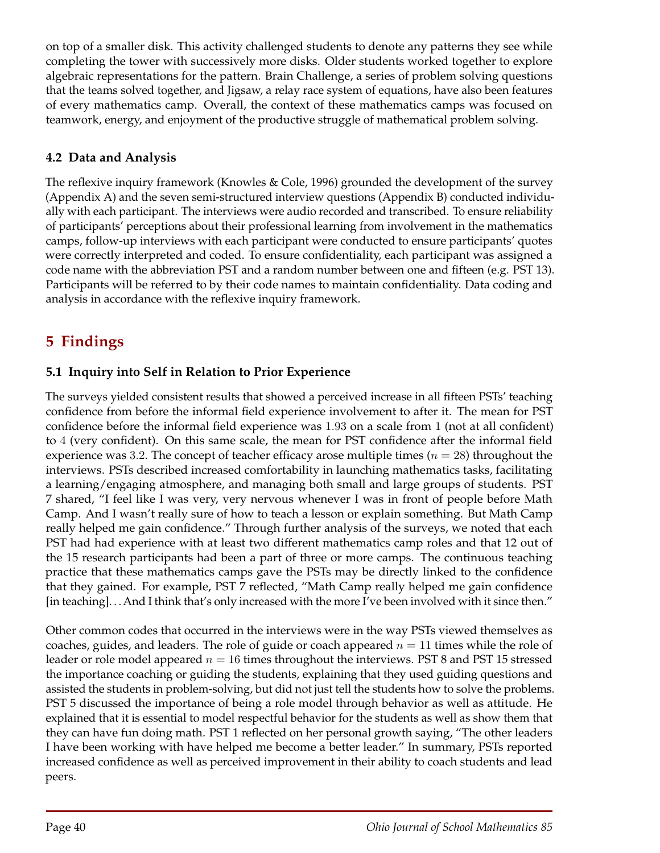on top of a smaller disk. This activity challenged students to denote any patterns they see while completing the tower with successively more disks. Older students worked together to explore algebraic representations for the pattern. Brain Challenge, a series of problem solving questions that the teams solved together, and Jigsaw, a relay race system of equations, have also been features of every mathematics camp. Overall, the context of these mathematics camps was focused on teamwork, energy, and enjoyment of the productive struggle of mathematical problem solving.

### **4.2 Data and Analysis**

The reflexive inquiry framework (Knowles & Cole, 1996) grounded the development of the survey (Appendix A) and the seven semi-structured interview questions (Appendix B) conducted individually with each participant. The interviews were audio recorded and transcribed. To ensure reliability of participants' perceptions about their professional learning from involvement in the mathematics camps, follow-up interviews with each participant were conducted to ensure participants' quotes were correctly interpreted and coded. To ensure confidentiality, each participant was assigned a code name with the abbreviation PST and a random number between one and fifteen (e.g. PST 13). Participants will be referred to by their code names to maintain confidentiality. Data coding and analysis in accordance with the reflexive inquiry framework.

# **5 Findings**

## **5.1 Inquiry into Self in Relation to Prior Experience**

The surveys yielded consistent results that showed a perceived increase in all fifteen PSTs' teaching confidence from before the informal field experience involvement to after it. The mean for PST confidence before the informal field experience was 1*.*93 on a scale from 1 (not at all confident) to 4 (very confident). On this same scale, the mean for PST confidence after the informal field experience was 3.2. The concept of teacher efficacy arose multiple times ( $n = 28$ ) throughout the interviews. PSTs described increased comfortability in launching mathematics tasks, facilitating a learning/engaging atmosphere, and managing both small and large groups of students. PST 7 shared, "I feel like I was very, very nervous whenever I was in front of people before Math Camp. And I wasn't really sure of how to teach a lesson or explain something. But Math Camp really helped me gain confidence." Through further analysis of the surveys, we noted that each PST had had experience with at least two different mathematics camp roles and that 12 out of the 15 research participants had been a part of three or more camps. The continuous teaching practice that these mathematics camps gave the PSTs may be directly linked to the confidence that they gained. For example, PST 7 reflected, "Math Camp really helped me gain confidence [in teaching]. . . And I think that's only increased with the more I've been involved with it since then."

Other common codes that occurred in the interviews were in the way PSTs viewed themselves as coaches, guides, and leaders. The role of guide or coach appeared  $n = 11$  times while the role of leader or role model appeared  $n = 16$  times throughout the interviews. PST 8 and PST 15 stressed the importance coaching or guiding the students, explaining that they used guiding questions and assisted the students in problem-solving, but did not just tell the students how to solve the problems. PST 5 discussed the importance of being a role model through behavior as well as attitude. He explained that it is essential to model respectful behavior for the students as well as show them that they can have fun doing math. PST 1 reflected on her personal growth saying, "The other leaders I have been working with have helped me become a better leader." In summary, PSTs reported increased confidence as well as perceived improvement in their ability to coach students and lead peers.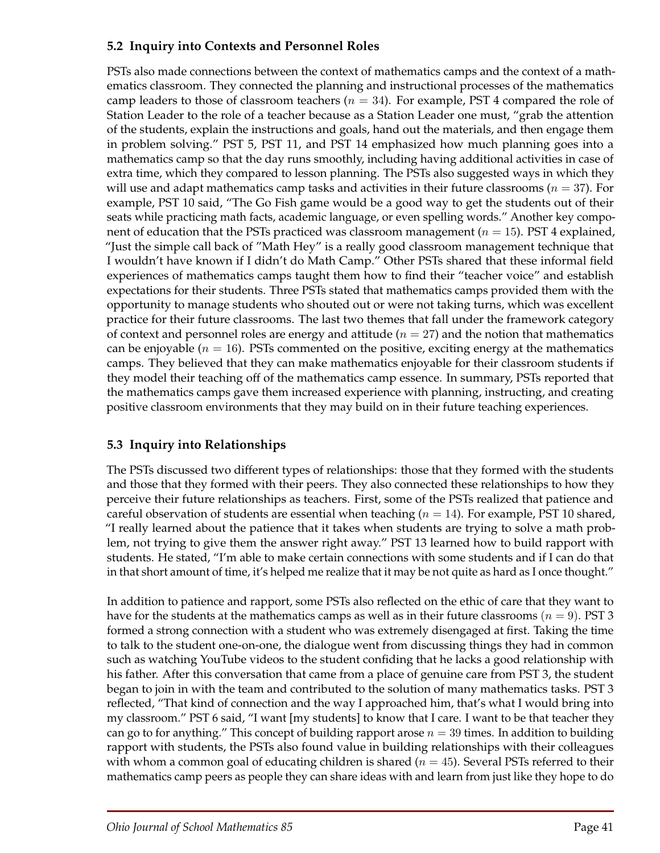#### **5.2 Inquiry into Contexts and Personnel Roles**

PSTs also made connections between the context of mathematics camps and the context of a mathematics classroom. They connected the planning and instructional processes of the mathematics camp leaders to those of classroom teachers (*n* = 34). For example, PST 4 compared the role of Station Leader to the role of a teacher because as a Station Leader one must, "grab the attention of the students, explain the instructions and goals, hand out the materials, and then engage them in problem solving." PST 5, PST 11, and PST 14 emphasized how much planning goes into a mathematics camp so that the day runs smoothly, including having additional activities in case of extra time, which they compared to lesson planning. The PSTs also suggested ways in which they will use and adapt mathematics camp tasks and activities in their future classrooms ( $n = 37$ ). For example, PST 10 said, "The Go Fish game would be a good way to get the students out of their seats while practicing math facts, academic language, or even spelling words." Another key component of education that the PSTs practiced was classroom management (*n* = 15). PST 4 explained, "Just the simple call back of "Math Hey" is a really good classroom management technique that I wouldn't have known if I didn't do Math Camp." Other PSTs shared that these informal field experiences of mathematics camps taught them how to find their "teacher voice" and establish expectations for their students. Three PSTs stated that mathematics camps provided them with the opportunity to manage students who shouted out or were not taking turns, which was excellent practice for their future classrooms. The last two themes that fall under the framework category of context and personnel roles are energy and attitude  $(n = 27)$  and the notion that mathematics can be enjoyable ( $n = 16$ ). PSTs commented on the positive, exciting energy at the mathematics camps. They believed that they can make mathematics enjoyable for their classroom students if they model their teaching off of the mathematics camp essence. In summary, PSTs reported that the mathematics camps gave them increased experience with planning, instructing, and creating positive classroom environments that they may build on in their future teaching experiences.

## **5.3 Inquiry into Relationships**

The PSTs discussed two different types of relationships: those that they formed with the students and those that they formed with their peers. They also connected these relationships to how they perceive their future relationships as teachers. First, some of the PSTs realized that patience and careful observation of students are essential when teaching ( $n = 14$ ). For example, PST 10 shared, "I really learned about the patience that it takes when students are trying to solve a math problem, not trying to give them the answer right away." PST 13 learned how to build rapport with students. He stated, "I'm able to make certain connections with some students and if I can do that in that short amount of time, it's helped me realize that it may be not quite as hard as I once thought."

In addition to patience and rapport, some PSTs also reflected on the ethic of care that they want to have for the students at the mathematics camps as well as in their future classrooms ( $n = 9$ ). PST 3 formed a strong connection with a student who was extremely disengaged at first. Taking the time to talk to the student one-on-one, the dialogue went from discussing things they had in common such as watching YouTube videos to the student confiding that he lacks a good relationship with his father. After this conversation that came from a place of genuine care from PST 3, the student began to join in with the team and contributed to the solution of many mathematics tasks. PST 3 reflected, "That kind of connection and the way I approached him, that's what I would bring into my classroom." PST 6 said, "I want [my students] to know that I care. I want to be that teacher they can go to for anything." This concept of building rapport arose  $n = 39$  times. In addition to building rapport with students, the PSTs also found value in building relationships with their colleagues with whom a common goal of educating children is shared (*n* = 45). Several PSTs referred to their mathematics camp peers as people they can share ideas with and learn from just like they hope to do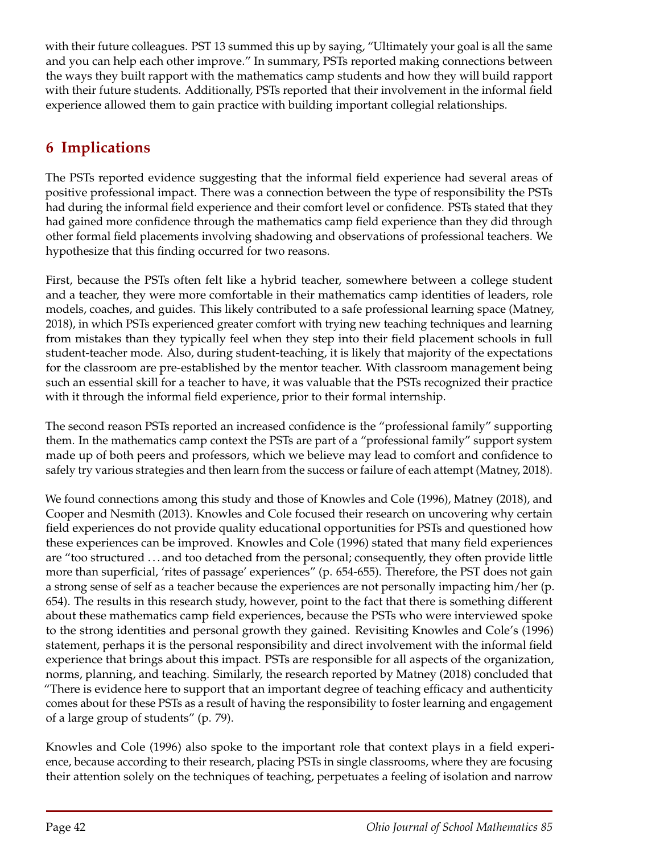with their future colleagues. PST 13 summed this up by saying, "Ultimately your goal is all the same and you can help each other improve." In summary, PSTs reported making connections between the ways they built rapport with the mathematics camp students and how they will build rapport with their future students. Additionally, PSTs reported that their involvement in the informal field experience allowed them to gain practice with building important collegial relationships.

# **6 Implications**

The PSTs reported evidence suggesting that the informal field experience had several areas of positive professional impact. There was a connection between the type of responsibility the PSTs had during the informal field experience and their comfort level or confidence. PSTs stated that they had gained more confidence through the mathematics camp field experience than they did through other formal field placements involving shadowing and observations of professional teachers. We hypothesize that this finding occurred for two reasons.

First, because the PSTs often felt like a hybrid teacher, somewhere between a college student and a teacher, they were more comfortable in their mathematics camp identities of leaders, role models, coaches, and guides. This likely contributed to a safe professional learning space (Matney, 2018), in which PSTs experienced greater comfort with trying new teaching techniques and learning from mistakes than they typically feel when they step into their field placement schools in full student-teacher mode. Also, during student-teaching, it is likely that majority of the expectations for the classroom are pre-established by the mentor teacher. With classroom management being such an essential skill for a teacher to have, it was valuable that the PSTs recognized their practice with it through the informal field experience, prior to their formal internship.

The second reason PSTs reported an increased confidence is the "professional family" supporting them. In the mathematics camp context the PSTs are part of a "professional family" support system made up of both peers and professors, which we believe may lead to comfort and confidence to safely try various strategies and then learn from the success or failure of each attempt (Matney, 2018).

We found connections among this study and those of Knowles and Cole (1996), Matney (2018), and Cooper and Nesmith (2013). Knowles and Cole focused their research on uncovering why certain field experiences do not provide quality educational opportunities for PSTs and questioned how these experiences can be improved. Knowles and Cole (1996) stated that many field experiences are "too structured . . . and too detached from the personal; consequently, they often provide little more than superficial, 'rites of passage' experiences" (p. 654-655). Therefore, the PST does not gain a strong sense of self as a teacher because the experiences are not personally impacting him/her (p. 654). The results in this research study, however, point to the fact that there is something different about these mathematics camp field experiences, because the PSTs who were interviewed spoke to the strong identities and personal growth they gained. Revisiting Knowles and Cole's (1996) statement, perhaps it is the personal responsibility and direct involvement with the informal field experience that brings about this impact. PSTs are responsible for all aspects of the organization, norms, planning, and teaching. Similarly, the research reported by Matney (2018) concluded that "There is evidence here to support that an important degree of teaching efficacy and authenticity comes about for these PSTs as a result of having the responsibility to foster learning and engagement of a large group of students" (p. 79).

Knowles and Cole (1996) also spoke to the important role that context plays in a field experience, because according to their research, placing PSTs in single classrooms, where they are focusing their attention solely on the techniques of teaching, perpetuates a feeling of isolation and narrow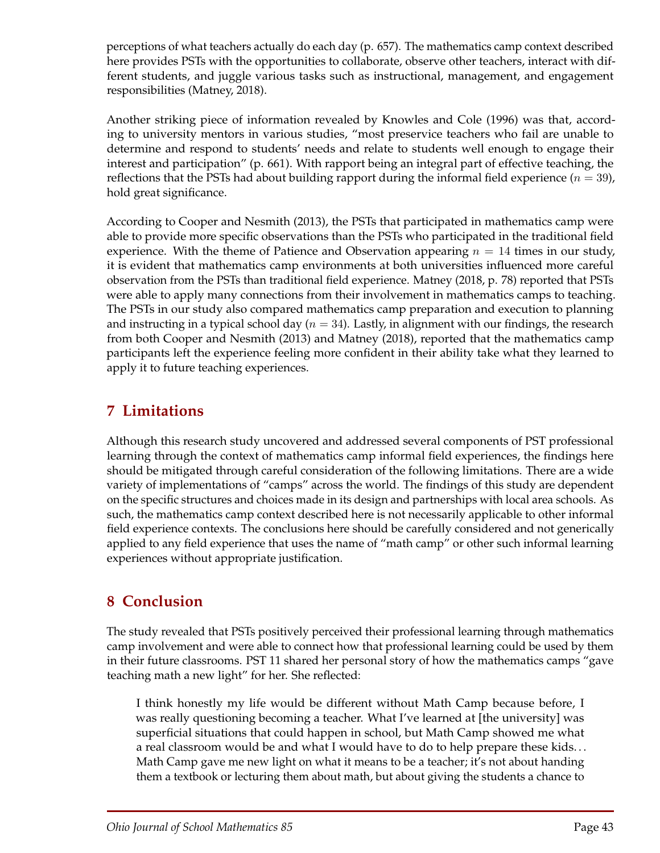perceptions of what teachers actually do each day (p. 657). The mathematics camp context described here provides PSTs with the opportunities to collaborate, observe other teachers, interact with different students, and juggle various tasks such as instructional, management, and engagement responsibilities (Matney, 2018).

Another striking piece of information revealed by Knowles and Cole (1996) was that, according to university mentors in various studies, "most preservice teachers who fail are unable to determine and respond to students' needs and relate to students well enough to engage their interest and participation" (p. 661). With rapport being an integral part of effective teaching, the reflections that the PSTs had about building rapport during the informal field experience  $(n = 39)$ , hold great significance.

According to Cooper and Nesmith (2013), the PSTs that participated in mathematics camp were able to provide more specific observations than the PSTs who participated in the traditional field experience. With the theme of Patience and Observation appearing  $n = 14$  times in our study, it is evident that mathematics camp environments at both universities influenced more careful observation from the PSTs than traditional field experience. Matney (2018, p. 78) reported that PSTs were able to apply many connections from their involvement in mathematics camps to teaching. The PSTs in our study also compared mathematics camp preparation and execution to planning and instructing in a typical school day (*n* = 34). Lastly, in alignment with our findings, the research from both Cooper and Nesmith (2013) and Matney (2018), reported that the mathematics camp participants left the experience feeling more confident in their ability take what they learned to apply it to future teaching experiences.

# **7 Limitations**

Although this research study uncovered and addressed several components of PST professional learning through the context of mathematics camp informal field experiences, the findings here should be mitigated through careful consideration of the following limitations. There are a wide variety of implementations of "camps" across the world. The findings of this study are dependent on the specific structures and choices made in its design and partnerships with local area schools. As such, the mathematics camp context described here is not necessarily applicable to other informal field experience contexts. The conclusions here should be carefully considered and not generically applied to any field experience that uses the name of "math camp" or other such informal learning experiences without appropriate justification.

# **8 Conclusion**

The study revealed that PSTs positively perceived their professional learning through mathematics camp involvement and were able to connect how that professional learning could be used by them in their future classrooms. PST 11 shared her personal story of how the mathematics camps "gave teaching math a new light" for her. She reflected:

I think honestly my life would be different without Math Camp because before, I was really questioning becoming a teacher. What I've learned at [the university] was superficial situations that could happen in school, but Math Camp showed me what a real classroom would be and what I would have to do to help prepare these kids. . . Math Camp gave me new light on what it means to be a teacher; it's not about handing them a textbook or lecturing them about math, but about giving the students a chance to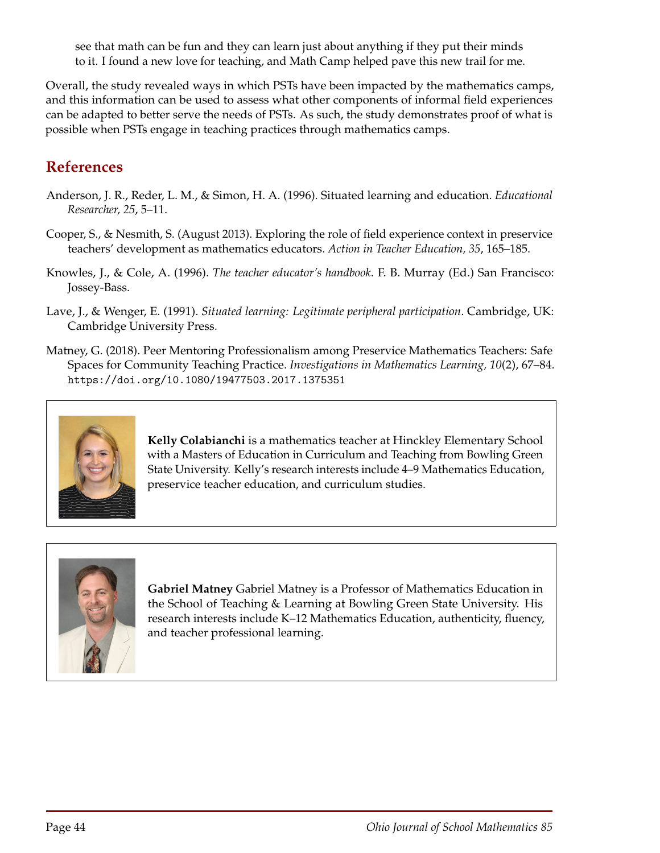see that math can be fun and they can learn just about anything if they put their minds to it. I found a new love for teaching, and Math Camp helped pave this new trail for me.

Overall, the study revealed ways in which PSTs have been impacted by the mathematics camps, and this information can be used to assess what other components of informal field experiences can be adapted to better serve the needs of PSTs. As such, the study demonstrates proof of what is possible when PSTs engage in teaching practices through mathematics camps.

## **References**

- Anderson, J. R., Reder, L. M., & Simon, H. A. (1996). Situated learning and education. *Educational Researcher, 25*, 5–11.
- Cooper, S., & Nesmith, S. (August 2013). Exploring the role of field experience context in preservice teachers' development as mathematics educators. *Action in Teacher Education, 35*, 165–185.
- Knowles, J., & Cole, A. (1996). *The teacher educator's handbook*. F. B. Murray (Ed.) San Francisco: Jossey-Bass.
- Lave, J., & Wenger, E. (1991). *Situated learning: Legitimate peripheral participation*. Cambridge, UK: Cambridge University Press.
- Matney, G. (2018). Peer Mentoring Professionalism among Preservice Mathematics Teachers: Safe Spaces for Community Teaching Practice. *Investigations in Mathematics Learning, 10*(2), 67–84. https://doi.org/10.1080/19477503.2017.1375351



**Kelly Colabianchi** is a mathematics teacher at Hinckley Elementary School with a Masters of Education in Curriculum and Teaching from Bowling Green State University. Kelly's research interests include 4–9 Mathematics Education, preservice teacher education, and curriculum studies.



**Gabriel Matney** Gabriel Matney is a Professor of Mathematics Education in the School of Teaching & Learning at Bowling Green State University. His research interests include K–12 Mathematics Education, authenticity, fluency, and teacher professional learning.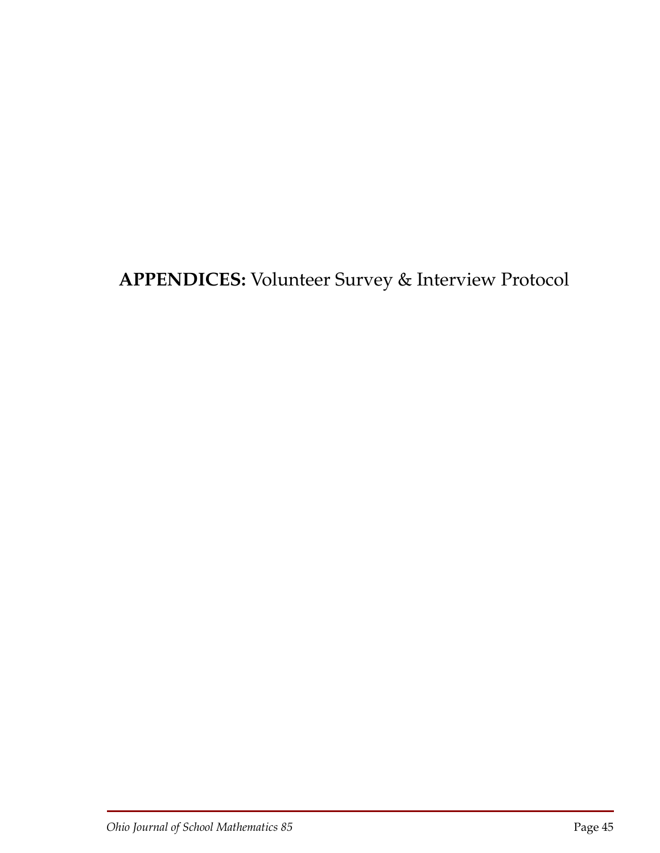**APPENDICES:** Volunteer Survey & Interview Protocol